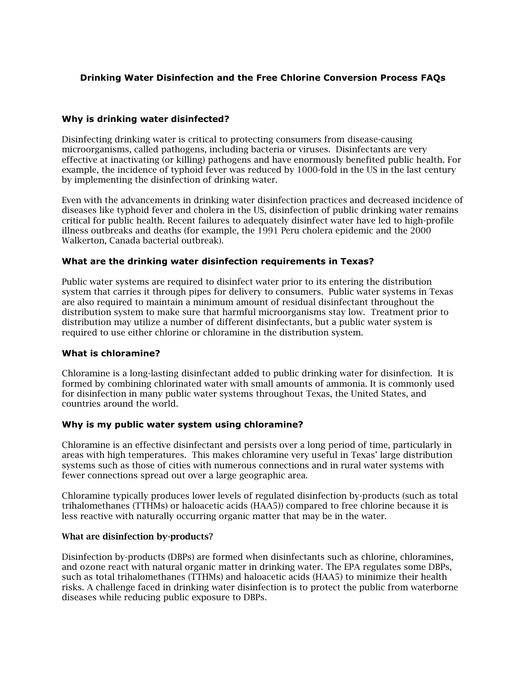# **Drinking Water Disinfection and the Free Chlorine Conversion Process FAQs**

## **Why is drinking water disinfected?**

Disinfecting drinking water is critical to protecting consumers from disease-causing microorganisms, called pathogens, including bacteria or viruses. Disinfectants are very effective at inactivating (or killing) pathogens and have enormously benefited public health. For example, the incidence of typhoid fever was reduced by 1000-fold in the US in the last century by implementing the disinfection of drinking water.

Even with the advancements in drinking water disinfection practices and decreased incidence of diseases like typhoid fever and cholera in the US, disinfection of public drinking water remains critical for public health. Recent failures to adequately disinfect water have led to high-profile illness outbreaks and deaths (for example, the 1991 Peru cholera epidemic and the 2000 Walkerton, Canada bacterial outbreak).

## **What are the drinking water disinfection requirements in Texas?**

Public water systems are required to disinfect water prior to its entering the distribution system that carries it through pipes for delivery to consumers. Public water systems in Texas are also required to maintain a minimum amount of residual disinfectant throughout the distribution system to make sure that harmful microorganisms stay low. Treatment prior to distribution may utilize a number of different disinfectants, but a public water system is required to use either chlorine or chloramine in the distribution system.

## **What is chloramine?**

Chloramine is a long-lasting disinfectant added to public drinking water for disinfection. It is formed by combining chlorinated water with small amounts of ammonia. It is commonly used for disinfection in many public water systems throughout Texas, the United States, and countries around the world.

## **Why is my public water system using chloramine?**

Chloramine is an effective disinfectant and persists over a long period of time, particularly in areas with high temperatures. This makes chloramine very useful in Texas' large distribution systems such as those of cities with numerous connections and in rural water systems with fewer connections spread out over a large geographic area.

Chloramine typically produces lower levels of regulated disinfection by-products (such as total trihalomethanes (TTHMs) or haloacetic acids (HAA5)) compared to free chlorine because it is less reactive with naturally occurring organic matter that may be in the water.

#### What are disinfection by-products?

Disinfection by-products (DBPs) are formed when disinfectants such as chlorine, chloramines, and ozone react with natural organic matter in drinking water. The EPA regulates some DBPs, such as total trihalomethanes (TTHMs) and haloacetic acids (HAA5) to minimize their health risks. A challenge faced in drinking water disinfection is to protect the public from waterborne diseases while reducing public exposure to DBPs.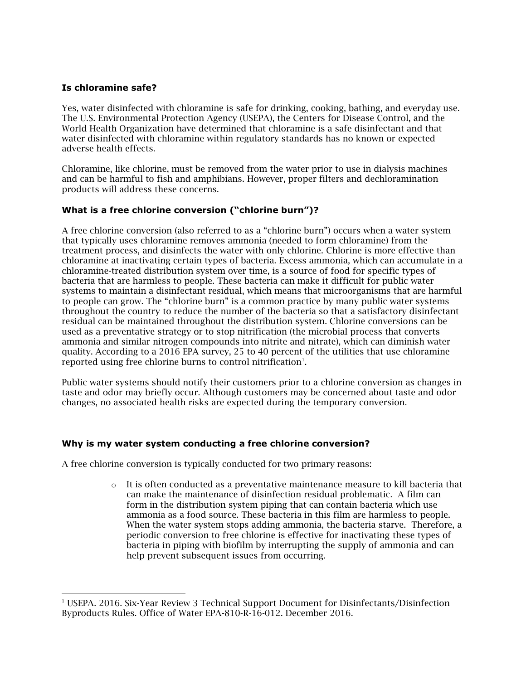## **Is chloramine safe?**

1

Yes, water disinfected with chloramine is safe for drinking, cooking, bathing, and everyday use. The U.S. Environmental Protection Agency (USEPA), the Centers for Disease Control, and the World Health Organization have determined that chloramine is a safe disinfectant and that water disinfected with chloramine within regulatory standards has no known or expected adverse health effects.

Chloramine, like chlorine, must be removed from the water prior to use in dialysis machines and can be harmful to fish and amphibians. However, proper filters and dechloramination products will address these concerns.

## **What is a free chlorine conversion ("chlorine burn")?**

A free chlorine conversion (also referred to as a "chlorine burn") occurs when a water system that typically uses chloramine removes ammonia (needed to form chloramine) from the treatment process, and disinfects the water with only chlorine. Chlorine is more effective than chloramine at inactivating certain types of bacteria. Excess ammonia, which can accumulate in a chloramine-treated distribution system over time, is a source of food for specific types of bacteria that are harmless to people. These bacteria can make it difficult for public water systems to maintain a disinfectant residual, which means that microorganisms that are harmful to people can grow. The "chlorine burn" is a common practice by many public water systems throughout the country to reduce the number of the bacteria so that a satisfactory disinfectant residual can be maintained throughout the distribution system. Chlorine conversions can be used as a preventative strategy or to stop nitrification (the microbial process that converts ammonia and similar nitrogen compounds into nitrite and nitrate), which can diminish water quality. According to a 2016 EPA survey, 25 to 40 percent of the utilities that use chloramine reported using free chlorine burns to control nitrification<sup>1</sup>.

Public water systems should notify their customers prior to a chlorine conversion as changes in taste and odor may briefly occur. Although customers may be concerned about taste and odor changes, no associated health risks are expected during the temporary conversion.

## **Why is my water system conducting a free chlorine conversion?**

A free chlorine conversion is typically conducted for two primary reasons:

 $\circ$  It is often conducted as a preventative maintenance measure to kill bacteria that can make the maintenance of disinfection residual problematic. A film can form in the distribution system piping that can contain bacteria which use ammonia as a food source. These bacteria in this film are harmless to people. When the water system stops adding ammonia, the bacteria starve. Therefore, a periodic conversion to free chlorine is effective for inactivating these types of bacteria in piping with biofilm by interrupting the supply of ammonia and can help prevent subsequent issues from occurring.

<sup>1</sup> USEPA. 2016. Six-Year Review 3 Technical Support Document for Disinfectants/Disinfection Byproducts Rules. Office of Water EPA-810-R-16-012. December 2016.